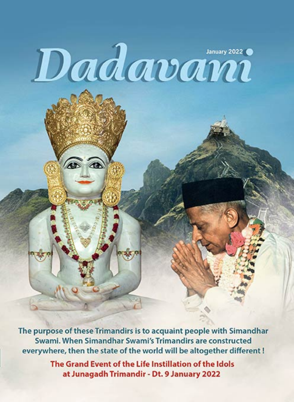# Dadavani

 $\circ$   $\circ$ 

The purpose of these Trimandirs is to acquaint people with Simandhar Swami, When Simandhar Swami's Trimandirs are constructed everywhere, then the state of the world will be altogether different !

> The Grand Event of the Life Instillation of the Idols at Junagadh Trimandir - Dt. 9 January 2022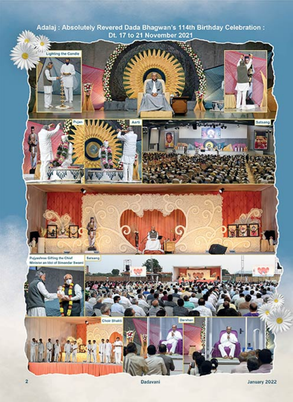Adalaj : Absolutely Revered Dada Bhagwan's 114th Birthday Celebration : Dt. 17 to 21 November 2021

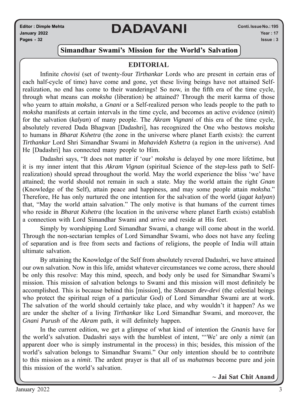**Editor : Dimple Mehta January 2022 Pages - 32**

# **DADAVANI**

### **Simandhar Swami's Mission for the World's Salvation**

### **EDITORIAL**

Infinite *chovisi* (set of twenty-four *Tirthankar* Lords who are present in certain eras of each half-cycle of time) have come and gone, yet these living beings have not attained Selfrealization, no end has come to their wanderings! So now, in the fifth era of the time cycle, through what means can *moksha* (liberation) be attained? Through the merit karma of those who yearn to attain *moksha*, a *Gnani* or a Self-realized person who leads people to the path to *moksha* manifests at certain intervals in the time cycle, and becomes an active evidence (*nimit*) for the salvation (*kalyan*) of many people. The *Akram Vignani* of this era of the time cycle, absolutely revered Dada Bhagwan [Dadashri], has recognized the One who bestows *moksha* to humans in *Bharat Kshetra* (the zone in the universe where planet Earth exists): the current *Tirthankar* Lord Shri Simandhar Swami in *Mahavideh Kshetra* (a region in the universe). And He [Dadashri] has connected many people to Him.

Dadashri says, "It does not matter if 'our' *moksha* is delayed by one more lifetime, but it is my inner intent that this *Akram Vignan* (spiritual Science of the step-less path to Selfrealization) should spread throughout the world. May the world experience the bliss 'we' have attained; the world should not remain in such a state. May the world attain the right *Gnan*  (Knowledge of the Self), attain peace and happiness, and may some people attain *moksha*." Therefore, He has only nurtured the one intention for the salvation of the world (*jagat kalyan*) that, "May the world attain salvation." The only motive is that humans of the current times who reside in *Bharat Kshetra* (the location in the universe where planet Earth exists) establish a connection with Lord Simandhar Swami and arrive and reside at His feet.

Simply by worshipping Lord Simandhar Swami, a change will come about in the world. Through the non-sectarian temples of Lord Simandhar Swami, who does not have any feeling of separation and is free from sects and factions of religions, the people of India will attain ultimate salvation.

By attaining the Knowledge of the Self from absolutely revered Dadashri, we have attained our own salvation. Now in this life, amidst whatever circumstances we come across, there should be only this resolve: May this mind, speech, and body only be used for Simandhar Swami's mission. This mission of salvation belongs to Swami and this mission will most definitely be accomplished. This is because behind this [mission], the *Shaasan dev-devi* (the celestial beings who protect the spiritual reign of a particular God) of Lord Simandhar Swami are at work. The salvation of the world should certainly take place, and why wouldn't it happen? As we are under the shelter of a living *Tirthankar* like Lord Simandhar Swami, and moreover, the *Gnani Purush* of the *Akram* path, it will definitely happen.

In the current edition, we get a glimpse of what kind of intention the *Gnanis* have for the world's salvation. Dadashri says with the humblest of intent, "'We' are only a *nimit* (an apparent doer who is simply instrumental in the process) in this; besides, this mission of the world's salvation belongs to Simandhar Swami." Our only intention should be to contribute to this mission as a *nimit*. The ardent prayer is that all of us *mahatmas* become pure and join this mission of the world's salvation.

**~ Jai Sat Chit Anand**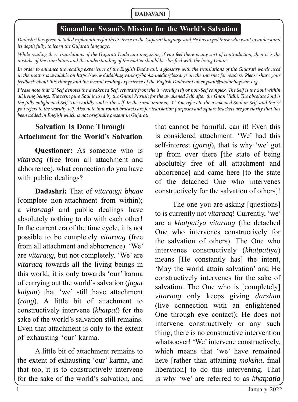### **Simandhar Swami's Mission for the World's Salvation**

*Dadashri has given detailed explanations for this Science in the Gujarati language and He has urged those who want to understand its depth fully, to learn the Gujarati language.*

While reading these translations of the Gujarati Dadavani magazine, if you feel there is any sort of contradiction, then it is the *mistake of the translators and the understanding of the matter should be clarified with the living Gnani.* 

*In order to enhance the reading experience of the English Dadavani, a glossary with the translations of the Gujarati words used in the matter is available on https://www.dadabhagwan.org/books-media/glossary/ on the internet for readers. Please share your feedback about this change and the overall reading experience of the English Dadavani on engvani@dadabhagwan.org.* 

*Please note that 'S' Self denotes the awakened Self, separate from the 's' worldly self or non-Self complex. The Self is the Soul within* all living beings. The term pure Soul is used by the Gnani Purush for the awakened Self, after the Gnan Vidhi. The absolute Soul is the fully enlightened Self. The worldly soul is the self. In the same manner, 'Y' You refers to the awakened Soul or Self, and the 'y' *you refers to the worldly self. Also note that round brackets are for translation purposes and square brackets are for clarity that has been added in English which is not originally present in Gujarati.*

# **Salvation Is Done Through Attachment for the World's Salvation**

**Questioner:** As someone who is *vitaraag* (free from all attachment and abhorrence), what connection do you have with public dealings?

**Dadashri:** That of *vitaraagi bhaav*  (complete non-attachment from within); a *vitaraagi* and public dealings have absolutely nothing to do with each other! In the current era of the time cycle, it is not possible to be completely *vitaraag* (free from all attachment and abhorrence). 'We' are *vitaraag*, but not completely. 'We' are *vitaraag* towards all the living beings in this world; it is only towards 'our' karma of carrying out the world's salvation (*jagat kalyan*) that 'we' still have attachment (*raag*). A little bit of attachment to constructively intervene (*khatpat*) for the sake of the world's salvation still remains. Even that attachment is only to the extent of exhausting 'our' karma.

A little bit of attachment remains to the extent of exhausting 'our' karma, and that too, it is to constructively intervene for the sake of the world's salvation, and that cannot be harmful, can it! Even this is considered attachment. 'We' had this self-interest (*garaj*), that is why 'we' got up from over there [the state of being absolutely free of all attachment and abhorrence] and came here [to the state of the detached One who intervenes constructively for the salvation of others]!

The one you are asking [questions] to is currently not *vitaraag*! Currently, 'we' are a *khatpatiya vitaraag* (the detached One who intervenes constructively for the salvation of others). The One who intervenes constructively (*khatpatiya*) means [He constantly has] the intent, 'May the world attain salvation' and He constructively intervenes for the sake of salvation. The One who is [completely] *vitaraag* only keeps giving *darshan* (live connection with an enlightened One through eye contact); He does not intervene constructively or any such thing, there is no constructive intervention whatsoever! 'We' intervene constructively, which means that 'we' have remained here [rather than attaining *moksha*, final liberation] to do this intervening. That is why 'we' are referred to as *khatpatia*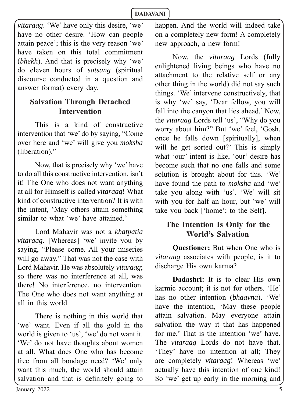*vitaraag*. 'We' have only this desire, 'we' have no other desire. 'How can people attain peace'; this is the very reason 'we' have taken on this total commitment (*bhekh*). And that is precisely why 'we' do eleven hours of *satsang* (spiritual discourse conducted in a question and answer format) every day.

# **Salvation Through Detached Intervention**

This is a kind of constructive intervention that 'we' do by saying, "Come over here and 'we' will give you *moksha*  (liberation)."

Now, that is precisely why 'we' have to do all this constructive intervention, isn't it! The One who does not want anything at all for Himself is called *vitaraag*! What kind of constructive intervention? It is with the intent, 'May others attain something similar to what 'we' have attained.'

Lord Mahavir was not a *khatpatia vitaraag*. [Whereas] 'we' invite you by saying, "Please come. All your miseries will go away." That was not the case with Lord Mahavir. He was absolutely *vitaraag*; so there was no interference at all, was there! No interference, no intervention. The One who does not want anything at all in this world.

There is nothing in this world that 'we' want. Even if all the gold in the world is given to 'us', 'we' do not want it. 'We' do not have thoughts about women at all. What does One who has become free from all bondage need? 'We' only want this much, the world should attain salvation and that is definitely going to

happen. And the world will indeed take on a completely new form! A completely new approach, a new form!

Now, the *vitaraag* Lords (fully enlightened living beings who have no attachment to the relative self or any other thing in the world) did not say such things. 'We' intervene constructively, that is why 'we' say, 'Dear fellow, you will fall into the canyon that lies ahead.' Now, the *vitaraag* Lords tell 'us', "Why do you worry about him?" But 'we' feel, 'Gosh, once he falls down [spiritually], when will he get sorted out?' This is simply what 'our' intent is like, 'our' desire has become such that no one falls and some solution is brought about for this. 'We' have found the path to *moksha* and 'we' take you along with 'us'. 'We' will sit with you for half an hour, but 'we' will take you back ['home'; to the Self].

# **The Intention Is Only for the World's Salvation**

**Questioner:** But when One who is *vitaraag* associates with people, is it to discharge His own karma?

**Dadashri:** It is to clear His own karmic account; it is not for others. 'He' has no other intention (*bhaavna*). 'We' have the intention, 'May these people attain salvation. May everyone attain salvation the way it that has happened for me.' That is the intention 'we' have. The *vitaraag* Lords do not have that. 'They' have no intention at all; They are completely *vitaraag*! Whereas 'we' actually have this intention of one kind! So 'we' get up early in the morning and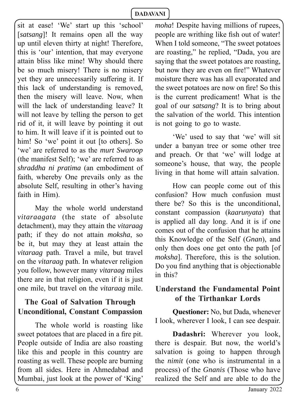sit at ease! 'We' start up this 'school' [*satsang*]! It remains open all the way up until eleven thirty at night! Therefore, this is 'our' intention, that may everyone attain bliss like mine! Why should there be so much misery! There is no misery yet they are unnecessarily suffering it. If this lack of understanding is removed, then the misery will leave. Now, when will the lack of understanding leave? It will not leave by telling the person to get rid of it, it will leave by pointing it out to him. It will leave if it is pointed out to him! So 'we' point it out [to others]. So 'we' are referred to as the *murt Swaroop* (the manifest Self); 'we' are referred to as *shraddha ni pratima* (an embodiment of faith, whereby One prevails only as the absolute Self, resulting in other's having faith in Him).

May the whole world understand *vitaraagata* (the state of absolute detachment), may they attain the *vitaraag* path; if they do not attain *moksha*, so be it, but may they at least attain the *vitaraag* path. Travel a mile, but travel on the *vitaraag* path. In whatever religion you follow, however many *vitaraag* miles there are in that religion, even if it is just one mile, but travel on the *vitaraag* mile.

### **The Goal of Salvation Through Unconditional, Constant Compassion**

The whole world is roasting like sweet potatoes that are placed in a fire pit. People outside of India are also roasting like this and people in this country are roasting as well. These people are burning from all sides. Here in Ahmedabad and Mumbai, just look at the power of 'King' *moha*! Despite having millions of rupees, people are writhing like fish out of water! When I told someone, "The sweet potatoes are roasting," he replied, "Dada, you are saying that the sweet potatoes are roasting, but now they are even on fire!" Whatever moisture there was has all evaporated and the sweet potatoes are now on fire! So this is the current predicament! What is the goal of our *satsang*? It is to bring about the salvation of the world. This intention is not going to go to waste.

'We' used to say that 'we' will sit under a banyan tree or some other tree and preach. Or that 'we' will lodge at someone's house, that way, the people living in that home will attain salvation.

How can people come out of this confusion? How much confusion must there be? So this is the unconditional, constant compassion (*kaarunyata*) that is applied all day long. And it is if one comes out of the confusion that he attains this Knowledge of the Self (*Gnan*), and only then does one get onto the path [of *moksha*]. Therefore, this is the solution. Do you find anything that is objectionable in this?

# **Understand the Fundamental Point of the Tirthankar Lords**

**Questioner:** No, but Dada, whenever I look, wherever I look, I can see despair.

**Dadashri:** Wherever you look, there is despair. But now, the world's salvation is going to happen through the *nimit* (one who is instrumental in a process) of the *Gnanis* (Those who have realized the Self and are able to do the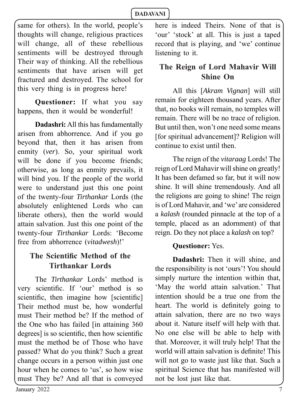same for others). In the world, people's thoughts will change, religious practices will change, all of these rebellious sentiments will be destroyed through Their way of thinking. All the rebellious sentiments that have arisen will get fractured and destroyed. The school for this very thing is in progress here!

**Questioner:** If what you say happens, then it would be wonderful!

**Dadashri:** All this has fundamentally arisen from abhorrence*.* And if you go beyond that, then it has arisen from enmity (*ver*). So, your spiritual work will be done if you become friends; otherwise, as long as enmity prevails, it will bind you. If the people of the world were to understand just this one point of the twenty-four *Tirthankar* Lords (the absolutely enlightened Lords who can liberate others), then the world would attain salvation. Just this one point of the twenty-four *Tirthankar* Lords: 'Become free from abhorrence (*vitadwesh*)!'

### **The Scientific Method of the Tirthankar Lords**

The *Tirthankar* Lords' method is very scientific. If 'our' method is so scientific, then imagine how [scientific] Their method must be, how wonderful must Their method be? If the method of the One who has failed [in attaining 360  $degree$ ] is so scientific, then how scientific must the method be of Those who have passed? What do you think? Such a great change occurs in a person within just one hour when he comes to 'us', so how wise must They be? And all that is conveyed

here is indeed Theirs. None of that is 'our' 'stock' at all. This is just a taped record that is playing, and 'we' continue listening to it.

### **The Reign of Lord Mahavir Will Shine On**

All this [*Akram Vignan*] will still remain for eighteen thousand years. After that, no books will remain, no temples will remain. There will be no trace of religion. But until then, won't one need some means [for spiritual advancement]? Religion will continue to exist until then.

The reign of the *vitaraag* Lords! The reign of Lord Mahavir will shine on greatly! It has been defamed so far, but it will now shine. It will shine tremendously. And all the religions are going to shine! The reign is of Lord Mahavir, and 'we' are considered a *kalash* (rounded pinnacle at the top of a temple, placed as an adornment) of that reign. Do they not place a *kalash* on top?

### **Questioner:** Yes.

**Dadashri:** Then it will shine, and the responsibility is not 'ours'! You should simply nurture the intention within that, 'May the world attain salvation.' That intention should be a true one from the heart. The world is definitely going to attain salvation, there are no two ways about it. Nature itself will help with that. No one else will be able to help with that. Moreover, it will truly help! That the world will attain salvation is definite! This will not go to waste just like that. Such a spiritual Science that has manifested will not be lost just like that.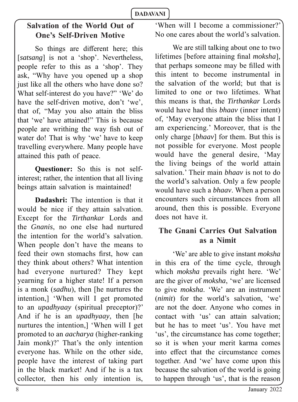# **Salvation of the World Out of One's Self-Driven Motive**

So things are different here; this [*satsang*] is not a 'shop'. Nevertheless, people refer to this as a 'shop'. They ask, "Why have you opened up a shop just like all the others who have done so? What self-interest do you have?" 'We' do have the self-driven motive, don't 'we', that of, "May you also attain the bliss that 'we' have attained!" This is because people are writhing the way fish out of water do! That is why 'we' have to keep travelling everywhere. Many people have attained this path of peace.

**Questioner:** So this is not selfinterest; rather, the intention that all living beings attain salvation is maintained!

**Dadashri:** The intention is that it would be nice if they attain salvation. Except for the *Tirthankar* Lords and the *Gnanis*, no one else had nurtured the intention for the world's salvation. When people don't have the means to feed their own stomachs first, how can they think about others? What intention had everyone nurtured? They kept yearning for a higher state! If a person is a monk (*sadhu*), then [he nurtures the intention,] 'When will I get promoted to an *upadhyaay* (spiritual preceptor)?' And if he is an *upadhyaay*, then [he nurtures the intention,] 'When will I get promoted to an *aacharya* (higher-ranking Jain monk)?' That's the only intention everyone has. While on the other side, people have the interest of taking part in the black market! And if he is a tax collector, then his only intention is,

'When will I become a commissioner?' No one cares about the world's salvation.

We are still talking about one to two lifetimes [before attaining final *moksha*], that perhaps someone may be filled with this intent to become instrumental in the salvation of the world; but that is limited to one or two lifetimes. What this means is that, the *Tirthankar* Lords would have had this *bhaav* (inner intent) of, 'May everyone attain the bliss that I am experiencing.' Moreover, that is the only charge [*bhaav*] for them. But this is not possible for everyone. Most people would have the general desire, 'May the living beings of the world attain salvation.' Their main *bhaav* is not to do the world's salvation. Only a few people would have such a *bhaav*. When a person encounters such circumstances from all around, then this is possible. Everyone does not have it.

### **The Gnani Carries Out Salvation as a Nimit**

'We' are able to give instant *moksha* in this era of the time cycle, through which *moksha* prevails right here. 'We' are the giver of *moksha*, 'we' are licensed to give *moksha*. 'We' are an instrument (*nimit*) for the world's salvation, 'we' are not the doer. Anyone who comes in contact with 'us' can attain salvation; but he has to meet 'us'. You have met 'us', the circumstance has come together; so it is when your merit karma comes into effect that the circumstance comes together. And 'we' have come upon this because the salvation of the world is going to happen through 'us', that is the reason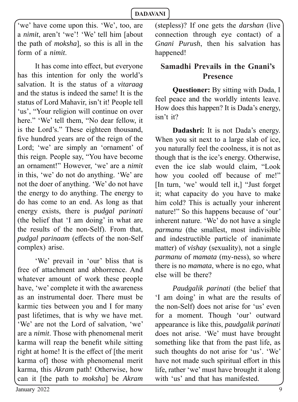'we' have come upon this. 'We', too, are a *nimit*, aren't 'we'! 'We' tell him [about the path of *moksha*], so this is all in the form of a *nimit*.

It has come into effect, but everyone has this intention for only the world's salvation. It is the status of a *vitaraag*  and the status is indeed the same! It is the status of Lord Mahavir, isn't it! People tell 'us', "Your religion will continue on over here." 'We' tell them, "No dear fellow, it is the Lord's." These eighteen thousand, five hundred years are of the reign of the Lord; 'we' are simply an 'ornament' of this reign. People say, "You have become an ornament!" However, 'we' are a *nimit*  in this, 'we' do not do anything. 'We' are not the doer of anything. 'We' do not have the energy to do anything. The energy to do has come to an end. As long as that energy exists, there is *pudgal parinati*  (the belief that 'I am doing' in what are the results of the non-Self). From that, *pudgal parinaam* (effects of the non-Self complex) arise.

'We' prevail in 'our' bliss that is free of attachment and abhorrence. And whatever amount of work these people have, 'we' complete it with the awareness as an instrumental doer. There must be karmic ties between you and I for many past lifetimes, that is why we have met. 'We' are not the Lord of salvation, 'we' are a *nimit*. Those with phenomenal merit karma will reap the benefit while sitting right at home! It is the effect of [the merit] karma of] those with phenomenal merit karma, this *Akram* path! Otherwise, how can it [the path to *moksha*] be *Akram*

(stepless)? If one gets the *darshan* (live connection through eye contact) of a *Gnani Purush*, then his salvation has happened!

# **Samadhi Prevails in the Gnani's Presence**

**Questioner:** By sitting with Dada, I feel peace and the worldly intents leave. How does this happen? It is Dada's energy, isn't it?

**Dadashri:** It is not Dada's energy. When you sit next to a large slab of ice, you naturally feel the coolness, it is not as though that is the ice's energy. Otherwise, even the ice slab would claim, "Look how you cooled off because of me!" [In turn, 'we' would tell it,] "Just forget it; what capacity do you have to make him cold? This is actually your inherent nature!" So this happens because of 'our' inherent nature. 'We' do not have a single *parmanu* (the smallest, most indivisible and indestructible particle of inanimate matter) of *vishay* (sexuality), not a single *parmanu* of *mamata* (my-ness), so where there is no *mamata*, where is no ego, what else will be there?

*Paudgalik parinati* (the belief that 'I am doing' in what are the results of the non-Self) does not arise for 'us' even for a moment. Though 'our' outward appearance is like this, *paudgalik parinati* does not arise. 'We' must have brought something like that from the past life, as such thoughts do not arise for 'us'. 'We' have not made such spiritual effort in this life, rather 'we' must have brought it along with 'us' and that has manifested.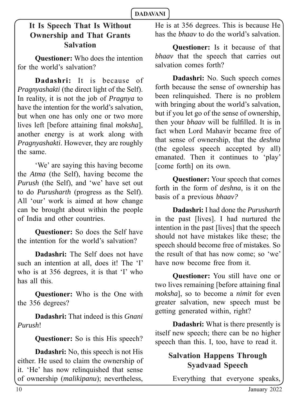# **It Is Speech That Is Without Ownership and That Grants Salvation**

**Questioner:** Who does the intention for the world's salvation?

**Dadashri:** It is because of *Pragnyashakti* (the direct light of the Self). In reality, it is not the job of *Pragnya* to have the intention for the world's salvation, but when one has only one or two more lives left [before attaining final *moksha*], another energy is at work along with *Pragnyashakti*. However, they are roughly the same.

'We' are saying this having become the *Atma* (the Self), having become the *Purush* (the Self), and 'we' have set out to do *Purusharth* (progress as the Self). All 'our' work is aimed at how change can be brought about within the people of India and other countries.

**Questioner:** So does the Self have the intention for the world's salvation?

**Dadashri:** The Self does not have such an intention at all, does it! The 'I' who is at 356 degrees, it is that 'I' who has all this.

**Questioner:** Who is the One with the 356 degrees?

**Dadashri:** That indeed is this *Gnani Purush*!

**Questioner:** So is this His speech?

**Dadashri:** No, this speech is not His either. He used to claim the ownership of it. 'He' has now relinquished that sense of ownership (*malikipanu*); nevertheless,

He is at 356 degrees. This is because He has the *bhaav* to do the world's salvation.

**Questioner:** Is it because of that *bhaav* that the speech that carries out salvation comes forth?

**Dadashri:** No. Such speech comes forth because the sense of ownership has been relinquished. There is no problem with bringing about the world's salvation. but if you let go of the sense of ownership, then your *bhaav* will be fulfilled. It is in fact when Lord Mahavir became free of that sense of ownership, that the *deshna* (the egoless speech accepted by all) emanated. Then it continues to 'play' [come forth] on its own.

**Questioner:** Your speech that comes forth in the form of *deshna*, is it on the basis of a previous *bhaav?* 

**Dadashri:** I had done the *Purusharth* in the past [lives]. I had nurtured the intention in the past [lives] that the speech should not have mistakes like these; the speech should become free of mistakes. So the result of that has now come; so 'we' have now become free from it.

**Questioner:** You still have one or two lives remaining [before attaining final] *moksha*], so to become a *nimit* for even greater salvation, new speech must be getting generated within, right?

**Dadashri:** What is there presently is itself new speech; there can be no higher speech than this. I, too, have to read it.

# **Salvation Happens Through Syadvaad Speech**

Everything that everyone speaks,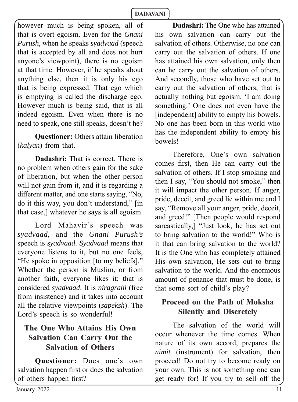however much is being spoken, all of that is overt egoism. Even for the *Gnani Purush*, when he speaks *syadvaad* (speech that is accepted by all and does not hurt anyone's viewpoint), there is no egoism at that time. However, if he speaks about anything else, then it is only his ego that is being expressed. That ego which is emptying is called the discharge ego. However much is being said, that is all indeed egoism. Even when there is no need to speak, one still speaks, doesn't he?

**Questioner:** Others attain liberation (*kalyan*) from that.

**Dadashri:** That is correct. There is no problem when others gain for the sake of liberation, but when the other person will not gain from it, and it is regarding a different matter, and one starts saying, "No, do it this way, you don't understand," [in that case,] whatever he says is all egoism.

Lord Mahavir's speech was *syadvaad*, and the *Gnani Purush's* speech is *syadvaad*. *Syadvaad* means that everyone listens to it, but no one feels, "He spoke in opposition [to my beliefs]." Whether the person is Muslim, or from another faith, everyone likes it; that is considered *syadvaad*. It is *niragrahi* (free from insistence) and it takes into account all the relative viewpoints (*sapeksh*). The Lord's speech is so wonderful!

# **The One Who Attains His Own Salvation Can Carry Out the Salvation of Others**

**Questioner:** Does one's own salvation happen first or does the salvation of others happen first?

**Dadashri:** The One who has attained his own salvation can carry out the salvation of others. Otherwise, no one can carry out the salvation of others. If one has attained his own salvation, only then can he carry out the salvation of others. And secondly, those who have set out to carry out the salvation of others, that is actually nothing but egoism. 'I am doing something.' One does not even have the [independent] ability to empty his bowels. No one has been born in this world who has the independent ability to empty his bowels!

Therefore, One's own salvation comes first, then He can carry out the salvation of others. If I stop smoking and then I say, "You should not smoke," then it will impact the other person. If anger, pride, deceit, and greed lie within me and I say, "Remove all your anger, pride, deceit, and greed!" [Then people would respond sarcastically,] "Just look, he has set out to bring salvation to the world!" Who is it that can bring salvation to the world? It is the One who has completely attained His own salvation, He sets out to bring salvation to the world. And the enormous amount of penance that must be done, is that some sort of child's play?

# **Proceed on the Path of Moksha Silently and Discretely**

The salvation of the world will occur whenever the time comes. When nature of its own accord, prepares the *nimit* (instrument) for salvation, then proceed! Do not try to become ready on your own. This is not something one can get ready for! If you try to sell off the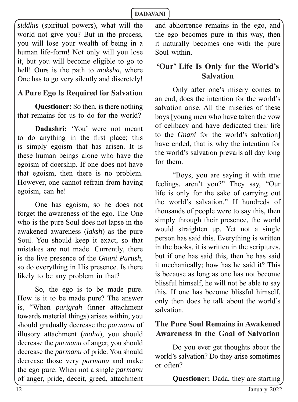*siddhis* (spiritual powers), what will the world not give you? But in the process, you will lose your wealth of being in a human life-form! Not only will you lose it, but you will become eligible to go to hell! Ours is the path to *moksha*, where One has to go very silently and discretely!

# **A Pure Ego Is Required for Salvation**

**Questioner:** So then, is there nothing that remains for us to do for the world?

**Dadashri:** 'You' were not meant to do anything in the first place; this is simply egoism that has arisen. It is these human beings alone who have the egoism of doership. If one does not have that egoism, then there is no problem. However, one cannot refrain from having egoism, can he!

One has egoism, so he does not forget the awareness of the ego. The One who is the pure Soul does not lapse in the awakened awareness (*laksh*) as the pure Soul. You should keep it exact, so that mistakes are not made. Currently, there is the live presence of the *Gnani Purush*, so do everything in His presence. Is there likely to be any problem in that?

So, the ego is to be made pure. How is it to be made pure? The answer is, "When *parigrah* (inner attachment towards material things) arises within, you should gradually decrease the *parmanu* of illusory attachment (*moha*), you should decrease the *parmanu* of anger, you should decrease the *parmanu* of pride. You should decrease those very *parmanu* and make the ego pure. When not a single *parmanu* of anger, pride, deceit, greed, attachment and abhorrence remains in the ego, and the ego becomes pure in this way, then it naturally becomes one with the pure Soul within.

# **'Our' Life Is Only for the World's Salvation**

Only after one's misery comes to an end, does the intention for the world's salvation arise. All the miseries of these boys [young men who have taken the vow of celibacy and have dedicated their life to the *Gnani* for the world's salvation] have ended, that is why the intention for the world's salvation prevails all day long for them.

"Boys, you are saying it with true feelings, aren't you?" They say, "Our life is only for the sake of carrying out the world's salvation." If hundreds of thousands of people were to say this, then simply through their presence, the world would straighten up. Yet not a single person has said this. Everything is written in the books, it is written in the scriptures, but if one has said this, then he has said it mechanically; how has he said it? This is because as long as one has not become blissful himself, he will not be able to say this. If one has become blissful himself, only then does he talk about the world's salvation.

# **The Pure Soul Remains in Awakened Awareness in the Goal of Salvation**

Do you ever get thoughts about the world's salvation? Do they arise sometimes or often?

**Questioner:** Dada, they are starting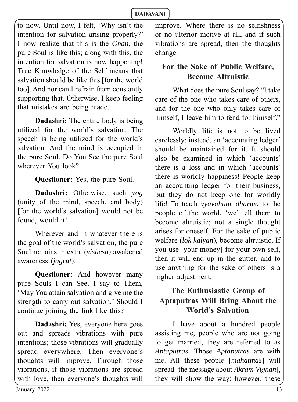to now. Until now, I felt, 'Why isn't the intention for salvation arising properly?' I now realize that this is the *Gnan*, the pure Soul is like this; along with this, the intention for salvation is now happening! True Knowledge of the Self means that salvation should be like this [for the world too]. And nor can I refrain from constantly supporting that. Otherwise, I keep feeling that mistakes are being made.

**Dadashri:** The entire body is being utilized for the world's salvation. The speech is being utilized for the world's salvation. And the mind is occupied in the pure Soul. Do You See the pure Soul wherever You look?

**Questioner:** Yes, the pure Soul.

**Dadashri:** Otherwise, such *yog* (unity of the mind, speech, and body) [for the world's salvation] would not be found, would it!

Wherever and in whatever there is the goal of the world's salvation, the pure Soul remains in extra (*vishesh*) awakened awareness (*jagrut*).

**Questioner:** And however many pure Souls I can See, I say to Them, 'May You attain salvation and give me the strength to carry out salvation.' Should I continue joining the link like this?

**Dadashri:** Yes, everyone here goes out and spreads vibrations with pure intentions; those vibrations will gradually spread everywhere. Then everyone's thoughts will improve. Through those vibrations, if those vibrations are spread with love, then everyone's thoughts will improve. Where there is no selfishness or no ulterior motive at all, and if such vibrations are spread, then the thoughts change.

# **For the Sake of Public Welfare, Become Altruistic**

What does the pure Soul say? "I take care of the one who takes care of others, and for the one who only takes care of himself, I leave him to fend for himself."

Worldly life is not to be lived carelessly; instead, an 'accounting ledger' should be maintained for it. It should also be examined in which 'accounts' there is a loss and in which 'accounts' there is worldly happiness! People keep an accounting ledger for their business, but they do not keep one for worldly life! To teach *vyavahaar dharma* to the people of the world, 'we' tell them to become altruistic; not a single thought arises for oneself. For the sake of public welfare (*lok kalyan*), become altruistic. If you use [your money] for your own self, then it will end up in the gutter, and to use anything for the sake of others is a higher adjustment.

# **The Enthusiastic Group of Aptaputras Will Bring About the World's Salvation**

I have about a hundred people assisting me, people who are not going to get married; they are referred to as *Aptaputras*. Those *Aptaputras* are with me. All these people [*mahatmas*] will spread [the message about *Akram Vignan*], they will show the way; however, these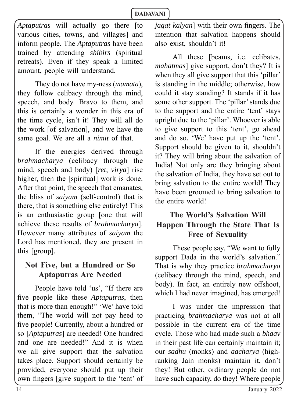*Aptaputras* will actually go there [to various cities, towns, and villages] and inform people. The *Aptaputras* have been trained by attending *shibirs* (spiritual retreats). Even if they speak a limited amount, people will understand.

They do not have my-ness (*mamata*), they follow celibacy through the mind, speech, and body. Bravo to them, and this is certainly a wonder in this era of the time cycle, isn't it! They will all do the work [of salvation], and we have the same goal. We are all a *nimit* of that.

If the energies derived through *brahmacharya* (celibacy through the mind, speech and body) [*ret*; *virya*] rise higher, then the [spiritual] work is done. After that point, the speech that emanates, the bliss of *saiyam* (self-control) that is there, that is something else entirely! This is an enthusiastic group [one that will achieve these results of *brahmacharya*]. However many attributes of *saiyam* the Lord has mentioned, they are present in this [group].

### **Not Five, but a Hundred or So Aptaputras Are Needed**

People have told 'us', "If there are five people like these *Aptaputras*, then that is more than enough!" 'We' have told them, "The world will not pay heed to five people! Currently, about a hundred or so [*Aptaputras*] are needed! One hundred and one are needed!" And it is when we all give support that the salvation takes place. Support should certainly be provided, everyone should put up their own fingers [give support to the 'tent' of *jagat kalyan*] with their own fingers. The intention that salvation happens should also exist, shouldn't it!

All these [beams, i.e. celibates, *mahatmas*] give support, don't they? It is when they all give support that this 'pillar' is standing in the middle; otherwise, how could it stay standing? It stands if it has some other support. The 'pillar' stands due to the support and the entire 'tent' stays upright due to the 'pillar'. Whoever is able to give support to this 'tent', go ahead and do so. 'We' have put up the 'tent'. Support should be given to it, shouldn't it? They will bring about the salvation of India! Not only are they bringing about the salvation of India, they have set out to bring salvation to the entire world! They have been groomed to bring salvation to the entire world!

# **The World's Salvation Will Happen Through the State That Is Free of Sexuality**

These people say, "We want to fully support Dada in the world's salvation." That is why they practice *brahmacharya* (celibacy through the mind, speech, and body). In fact, an entirely new offshoot, which I had never imagined, has emerged!

I was under the impression that practicing *brahmacharya* was not at all possible in the current era of the time cycle. Those who had made such a *bhaav* in their past life can certainly maintain it; our *sadhu* (monks) and *aacharya* (highranking Jain monks) maintain it, don't they! But other, ordinary people do not have such capacity, do they! Where people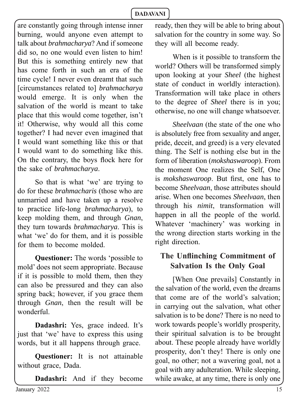are constantly going through intense inner burning, would anyone even attempt to talk about *brahmacharya*? And if someone did so, no one would even listen to him! But this is something entirely new that has come forth in such an era of the time cycle! I never even dreamt that such [circumstances related to] *brahmacharya*  would emerge. It is only when the salvation of the world is meant to take place that this would come together, isn't it! Otherwise, why would all this come together? I had never even imagined that I would want something like this or that I would want to do something like this. On the contrary, the boys flock here for the sake of *brahmacharya*.

So that is what 'we' are trying to do for these *brahmacharis* (those who are unmarried and have taken up a resolve to practice life-long *brahmacharya*), to keep molding them, and through *Gnan*, they turn towards *brahmacharya*. This is what 'we' do for them, and it is possible for them to become molded.

**Questioner:** The words 'possible to mold' does not seem appropriate. Because if it is possible to mold them, then they can also be pressured and they can also spring back; however, if you grace them through *Gnan*, then the result will be wonderful.

**Dadashri:** Yes, grace indeed. It's just that 'we' have to express this using words, but it all happens through grace.

**Questioner:** It is not attainable without grace, Dada.

**Dadashri:** And if they become

ready, then they will be able to bring about salvation for the country in some way. So they will all become ready.

When is it possible to transform the world? Others will be transformed simply upon looking at your *Sheel* (the highest state of conduct in worldly interaction)*.* Transformation will take place in others to the degree of *Sheel* there is in you; otherwise, no one will change whatsoever.

*Sheelvaan* (the state of the one who is absolutely free from sexuality and anger, pride, deceit, and greed) is a very elevated thing. The Self is nothing else but in the form of liberation (*mokshaswaroop*). From the moment One realizes the Self, One is *mokshaswaroop*. But first, one has to become *Sheelvaan*, those attributes should arise. When one becomes *Sheelvaan*, then through his *nimit*, transformation will happen in all the people of the world. Whatever 'machinery' was working in the wrong direction starts working in the right direction.

### **The Unflinching Commitment of Salvation Is the Only Goal**

[When One prevails] Constantly in the salvation of the world, even the dreams that come are of the world's salvation; in carrying out the salvation, what other salvation is to be done? There is no need to work towards people's worldly prosperity, their spiritual salvation is to be brought about. These people already have worldly prosperity, don't they! There is only one goal, no other; not a wavering goal, not a goal with any adulteration. While sleeping, while awake, at any time, there is only one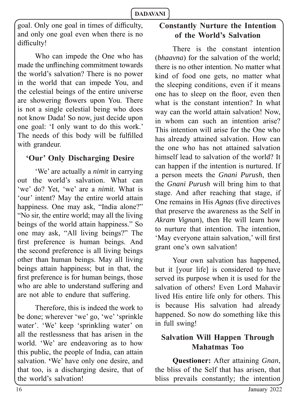goal. Only one goal in times of difficulty, and only one goal even when there is no difficulty!

Who can impede the One who has made the unflinching commitment towards the world's salvation? There is no power in the world that can impede You, and the celestial beings of the entire universe are showering flowers upon You. There is not a single celestial being who does not know Dada! So now, just decide upon one goal: 'I only want to do this work.' The needs of this body will be fulfilled with grandeur.

# **'Our' Only Discharging Desire**

'We' are actually a *nimit* in carrying out the world's salvation. What can 'we' do? Yet, 'we' are a *nimit*. What is 'our' intent? May the entire world attain happiness. One may ask, "India alone?" "No sir, the entire world; may all the living beings of the world attain happiness." So one may ask, "All living beings?" The first preference is human beings. And the second preference is all living beings other than human beings. May all living beings attain happiness; but in that, the first preference is for human beings, those who are able to understand suffering and are not able to endure that suffering.

Therefore, this is indeed the work to be done; wherever 'we' go, 'we' 'sprinkle water'. 'We' keep 'sprinkling water' on all the restlessness that has arisen in the world. 'We' are endeavoring as to how this public, the people of India, can attain salvation. **'**We' have only one desire, and that too, is a discharging desire, that of the world's salvation!

# **Constantly Nurture the Intention of the World's Salvation**

There is the constant intention (*bhaavna*) for the salvation of the world; there is no other intention. No matter what kind of food one gets, no matter what the sleeping conditions, even if it means one has to sleep on the floor, even then what is the constant intention? In what way can the world attain salvation! Now, in whom can such an intention arise? This intention will arise for the One who has already attained salvation. How can the one who has not attained salvation himself lead to salvation of the world? It can happen if the intention is nurtured. If a person meets the *Gnani Purush*, then the *Gnani Purush* will bring him to that stage. And after reaching that stage, if One remains in His *Agnas* (five directives that preserve the awareness as the Self in *Akram Vignan*), then He will learn how to nurture that intention. The intention, 'May everyone attain salvation,' will first grant one's own salvation!

Your own salvation has happened, but it [your life] is considered to have served its purpose when it is used for the salvation of others! Even Lord Mahavir lived His entire life only for others. This is because His salvation had already happened. So now do something like this in full swing!

# **Salvation Will Happen Through Mahatmas Too**

**Questioner:** After attaining *Gnan*, the bliss of the Self that has arisen, that bliss prevails constantly; the intention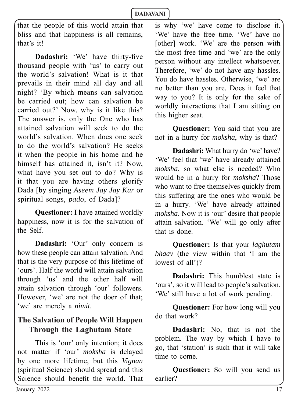that the people of this world attain that bliss and that happiness is all remains, that's it!

Dadashri: 'We' have thirty-five thousand people with 'us' to carry out the world's salvation! What is it that prevails in their mind all day and all night? 'By which means can salvation be carried out; how can salvation be carried out?' Now, why is it like this? The answer is, only the One who has attained salvation will seek to do the world's salvation. When does one seek to do the world's salvation? He seeks it when the people in his home and he himself has attained it, isn't it? Now, what have you set out to do? Why is it that you are having others glorify Dada [by singing *Aseem Jay Jay Kar* or spiritual songs, *pado*, of Dada]?

**Questioner:** I have attained worldly happiness, now it is for the salvation of the Self.

**Dadashri:** 'Our' only concern is how these people can attain salvation. And that is the very purpose of this lifetime of 'ours'. Half the world will attain salvation through 'us' and the other half will attain salvation through 'our' followers. However, 'we' are not the doer of that; 'we' are merely a *nimit*.

# **The Salvation of People Will Happen Through the Laghutam State**

This is 'our' only intention; it does not matter if 'our' *moksha* is delayed by one more lifetime, but this *Vignan* (spiritual Science) should spread and this Science should benefit the world. That is why 'we' have come to disclose it. 'We' have the free time. 'We' have no [other] work. 'We' are the person with the most free time and 'we' are the only person without any intellect whatsoever. Therefore, 'we' do not have any hassles. You do have hassles. Otherwise, 'we' are no better than you are. Does it feel that way to you? It is only for the sake of worldly interactions that I am sitting on this higher seat.

**Questioner:** You said that you are not in a hurry for *moksha*, why is that?

**Dadashri:** What hurry do 'we' have? 'We' feel that 'we' have already attained *moksha*, so what else is needed? Who would be in a hurry for *moksha*? Those who want to free themselves quickly from this suffering are the ones who would be in a hurry. 'We' have already attained *moksha*. Now it is 'our' desire that people attain salvation. 'We' will go only after that is done.

**Questioner:** Is that your *laghutam bhaav* (the view within that 'I am the lowest of all')?

**Dadashri:** This humblest state is 'ours', so it will lead to people's salvation. 'We' still have a lot of work pending.

**Questioner:** For how long will you do that work?

**Dadashri:** No, that is not the problem. The way by which I have to go, that 'station' is such that it will take time to come.

**Questioner:** So will you send us earlier?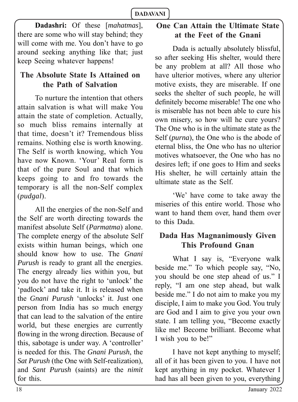**Dadashri:** Of these [*mahatmas*], there are some who will stay behind; they will come with me. You don't have to go around seeking anything like that; just keep Seeing whatever happens!

# **The Absolute State Is Attained on the Path of Salvation**

To nurture the intention that others attain salvation is what will make You attain the state of completion. Actually, so much bliss remains internally at that time, doesn't it? Tremendous bliss remains. Nothing else is worth knowing. The Self is worth knowing, which You have now Known. 'Your' Real form is that of the pure Soul and that which keeps going to and fro towards the temporary is all the non-Self complex (*pudgal*).

All the energies of the non-Self and the Self are worth directing towards the manifest absolute Self (*Parmatma*) alone. The complete energy of the absolute Self exists within human beings, which one should know how to use. The *Gnani Purush* is ready to grant all the energies. The energy already lies within you, but you do not have the right to 'unlock' the 'padlock' and take it. It is released when the *Gnani Purush* 'unlocks' it. Just one person from India has so much energy that can lead to the salvation of the entire world, but these energies are currently flowing in the wrong direction. Because of this, sabotage is under way. A 'controller' is needed for this. The *Gnani Purush*, the *Sat Purush* (the One with Self-realization), and *Sant Purush* (saints) are the *nimit* for this.

# **One Can Attain the Ultimate State at the Feet of the Gnani**

Dada is actually absolutely blissful, so after seeking His shelter, would there be any problem at all? All those who have ulterior motives, where any ulterior motive exists, they are miserable. If one seeks the shelter of such people, he will definitely become miserable! The one who is miserable has not been able to cure his own misery, so how will he cure yours? The One who is in the ultimate state as the Self (*purna*), the One who is the abode of eternal bliss, the One who has no ulterior motives whatsoever, the One who has no desires left; if one goes to Him and seeks His shelter, he will certainly attain the ultimate state as the Self.

'We' have come to take away the miseries of this entire world. Those who want to hand them over, hand them over to this Dada.

# **Dada Has Magnanimously Given This Profound Gnan**

What I say is, "Everyone walk beside me." To which people say, "No, you should be one step ahead of us." I reply, "I am one step ahead, but walk beside me." I do not aim to make you my disciple, I aim to make you God. You truly are God and I aim to give you your own state. I am telling you, "Become exactly like me! Become brilliant. Become what I wish you to be!"

I have not kept anything to myself; all of it has been given to you. I have not kept anything in my pocket. Whatever I had has all been given to you, everything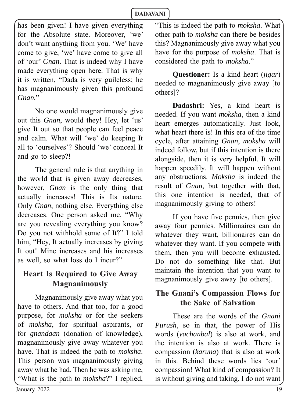has been given! I have given everything for the Absolute state. Moreover, 'we' don't want anything from you. 'We' have come to give, 'we' have come to give all of 'our' *Gnan*. That is indeed why I have made everything open here. That is why it is written, "Dada is very guileless; he has magnanimously given this profound Gnan<sup>"</sup>

No one would magnanimously give out this *Gnan*, would they! Hey, let 'us' give It out so that people can feel peace and calm. What will 'we' do keeping It all to 'ourselves'? Should 'we' conceal It and go to sleep?!

The general rule is that anything in the world that is given away decreases, however, *Gnan* is the only thing that actually increases! This is Its nature. Only *Gnan*, nothing else. Everything else decreases. One person asked me, "Why are you revealing everything you know? Do you not withhold some of It?" I told him, "Hey, It actually increases by giving It out! Mine increases and his increases as well, so what loss do I incur?"

### **Heart Is Required to Give Away Magnanimously**

Magnanimously give away what you have to others. And that too, for a good purpose, for *moksha* or for the seekers of *moksha*, for spiritual aspirants, or for *gnandaan* (donation of knowledge), magnanimously give away whatever you have. That is indeed the path to *moksha*. This person was magnanimously giving away what he had. Then he was asking me, "What is the path to *moksha*?" I replied,

"This is indeed the path to *moksha*. What other path to *moksha* can there be besides this? Magnanimously give away what you have for the purpose of *moksha*. That is considered the path to *moksha*."

**Questioner:** Is a kind heart (*jigar*) needed to magnanimously give away [to others]?

**Dadashri:** Yes, a kind heart is needed. If you want *moksha*, then a kind heart emerges automatically. Just look, what heart there is! In this era of the time cycle, after attaining *Gnan*, *moksha* will indeed follow, but if this intention is there alongside, then it is very helpful. It will happen speedily. It will happen without any obstructions. *Moksha* is indeed the result of *Gnan*, but together with that, this one intention is needed, that of magnanimously giving to others!

If you have five pennies, then give away four pennies. Millionaires can do whatever they want, billionaires can do whatever they want. If you compete with them, then you will become exhausted. Do not do something like that. But maintain the intention that you want to magnanimously give away [to others].

# **The Gnani's Compassion Flows for the Sake of Salvation**

These are the words of the *Gnani Purush*, so in that, the power of His words (*vachanbal*) is also at work, and the intention is also at work. There is compassion (*karuna*) that is also at work in this. Behind these words lies 'our' compassion! What kind of compassion? It is without giving and taking. I do not want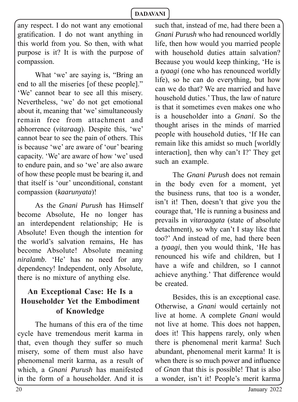any respect. I do not want any emotional gratification. I do not want anything in this world from you. So then, with what purpose is it? It is with the purpose of compassion.

What 'we' are saying is, "Bring an end to all the miseries [of these people]." 'We' cannot bear to see all this misery. Nevertheless, 'we' do not get emotional about it, meaning that 'we' simultaneously remain free from attachment and abhorrence (*vitaraag*). Despite this, 'we' cannot bear to see the pain of others. This is because 'we' are aware of 'our' bearing capacity. 'We' are aware of how 'we' used to endure pain, and so 'we' are also aware of how these people must be bearing it, and that itself is 'our' unconditional, constant compassion (*kaarunyata*)!

As the *Gnani Purush* has Himself become Absolute, He no longer has an interdependent relationship; He is Absolute! Even though the intention for the world's salvation remains, He has become Absolute! Absolute meaning *niralamb*. 'He' has no need for any dependency! Independent, only Absolute, there is no mixture of anything else.

# **An Exceptional Case: He Is a Householder Yet the Embodiment of Knowledge**

The humans of this era of the time cycle have tremendous merit karma in that, even though they suffer so much misery, some of them must also have phenomenal merit karma, as a result of which, a *Gnani Purush* has manifested in the form of a householder. And it is such that, instead of me, had there been a *Gnani Purush* who had renounced worldly life, then how would you married people with household duties attain salvation? Because you would keep thinking, 'He is a *tyaagi* (one who has renounced worldly life), so he can do everything, but how can we do that? We are married and have household duties.' Thus, the law of nature is that it sometimes even makes one who is a householder into a *Gnani*. So the thought arises in the minds of married people with household duties, 'If He can remain like this amidst so much [worldly interaction], then why can't I?' They get such an example.

The *Gnani Purush* does not remain in the body even for a moment, yet the business runs, that too is a wonder, isn't it! Then, doesn't that give you the courage that, 'He is running a business and prevails in *vitaraagata* (state of absolute detachment), so why can't I stay like that too?' And instead of me, had there been a *tyaagi*, then you would think, 'He has renounced his wife and children, but I have a wife and children, so I cannot achieve anything.' That difference would be created.

Besides, this is an exceptional case. Otherwise, a *Gnani* would certainly not live at home. A complete *Gnani* would not live at home. This does not happen, does it! This happens rarely, only when there is phenomenal merit karma! Such abundant, phenomenal merit karma! It is when there is so much power and influence of *Gnan* that this is possible! That is also a wonder, isn't it! People's merit karma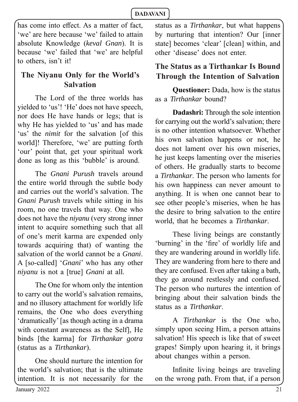has come into effect. As a matter of fact, 'we' are here because 'we' failed to attain absolute Knowledge (*keval Gnan*). It is because 'we' failed that 'we' are helpful to others, isn't it!

# **The Niyanu Only for the World's Salvation**

The Lord of the three worlds has yielded to 'us'! 'He' does not have speech, nor does He have hands or legs; that is why He has yielded to 'us' and has made 'us' the *nimit* for the salvation [of this world]! Therefore, 'we' are putting forth 'our' point that, get your spiritual work done as long as this 'bubble' is around.

The *Gnani Purush* travels around the entire world through the subtle body and carries out the world's salvation. The *Gnani Purush* travels while sitting in his room, no one travels that way. One who does not have the *niyanu* (very strong inner intent to acquire something such that all of one's merit karma are expended only towards acquiring that) of wanting the salvation of the world cannot be a *Gnani*. A [so-called] '*Gnani*' who has any other *niyanu* is not a [true] *Gnani* at all.

The One for whom only the intention to carry out the world's salvation remains, and no illusory attachment for worldly life remains, the One who does everything 'dramatically' [as though acting in a drama with constant awareness as the Self], He binds [the karma] for *Tirthankar gotra* (status as a *Tirthankar*).

One should nurture the intention for the world's salvation; that is the ultimate intention. It is not necessarily for the status as a *Tirthankar*, but what happens by nurturing that intention? Our [inner state] becomes 'clear' [clean] within, and other 'disease' does not enter.

### **The Status as a Tirthankar Is Bound Through the Intention of Salvation**

**Questioner:** Dada, how is the status as a *Tirthankar* bound?

**Dadashri:** Through the sole intention for carrying out the world's salvation; there is no other intention whatsoever. Whether his own salvation happens or not, he does not lament over his own miseries, he just keeps lamenting over the miseries of others. He gradually starts to become a *Tirthankar*. The person who laments for his own happiness can never amount to anything. It is when one cannot bear to see other people's miseries, when he has the desire to bring salvation to the entire world, that he becomes a *Tirthankar*.

These living beings are constantly 'burning' in the 'fire' of worldly life and they are wandering around in worldly life. They are wandering from here to there and they are confused. Even after taking a bath, they go around restlessly and confused. The person who nurtures the intention of bringing about their salvation binds the status as a *Tirthankar*.

A *Tirthankar* is the One who, simply upon seeing Him, a person attains salvation! His speech is like that of sweet grapes! Simply upon hearing it, it brings about changes within a person.

Infinite living beings are traveling on the wrong path. From that, if a person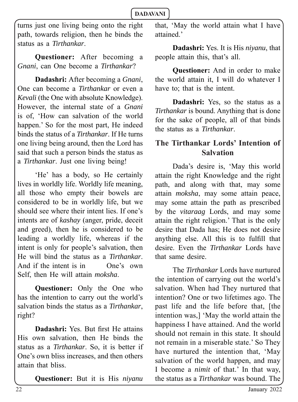turns just one living being onto the right path, towards religion, then he binds the status as a *Tirthankar*.

**Questioner:** After becoming a *Gnani*, can One become a *Tirthankar*?

**Dadashri:** After becoming a *Gnani*, One can become a *Tirthankar* or even a *Kevali* (the One with absolute Knowledge). However, the internal state of a *Gnani*  is of, 'How can salvation of the world happen.' So for the most part, He indeed binds the status of a *Tirthankar*. If He turns one living being around, then the Lord has said that such a person binds the status as a *Tirthankar*. Just one living being!

'He' has a body, so He certainly lives in worldly life. Worldly life meaning, all those who empty their bowels are considered to be in worldly life, but we should see where their intent lies. If one's intents are of *kashay* (anger, pride, deceit and greed), then he is considered to be leading a worldly life, whereas if the intent is only for people's salvation, then He will bind the status as a *Tirthankar*. And if the intent is in One's own Self, then He will attain *moksha*.

**Questioner:** Only the One who has the intention to carry out the world's salvation binds the status as a *Tirthankar*, right?

**Dadashri:** Yes. But first He attains His own salvation, then He binds the status as a *Tirthankar*. So, it is better if One's own bliss increases, and then others attain that bliss.

**Questioner:** But it is His *niyanu*

that, 'May the world attain what I have attained.'

**Dadashri:** Yes. It is His *niyanu*, that people attain this, that's all.

**Questioner:** And in order to make the world attain it, I will do whatever I have to; that is the intent.

**Dadashri:** Yes, so the status as a *Tirthankar* is bound. Anything that is done for the sake of people, all of that binds the status as a *Tirthankar*.

# **The Tirthankar Lords' Intention of Salvation**

Dada's desire is, 'May this world attain the right Knowledge and the right path, and along with that, may some attain *moksha*, may some attain peace, may some attain the path as prescribed by the *vitaraag* Lords, and may some attain the right religion.' That is the only desire that Dada has; He does not desire anything else. All this is to fulfill that desire. Even the *Tirthankar* Lords have that same desire.

The *Tirthankar* Lords have nurtured the intention of carrying out the world's salvation. When had They nurtured that intention? One or two lifetimes ago. The past life and the life before that, [the intention was,] 'May the world attain the happiness I have attained. And the world should not remain in this state. It should not remain in a miserable state.' So They have nurtured the intention that, 'May salvation of the world happen, and may I become a *nimit* of that.' In that way, the status as a *Tirthankar* was bound. The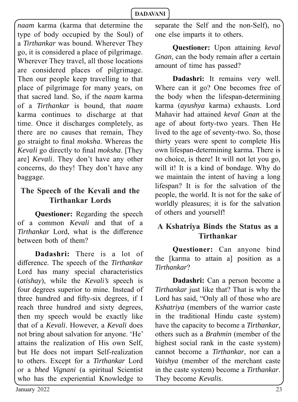*naam* karma (karma that determine the type of body occupied by the Soul) of a *Tirthankar* was bound. Wherever They go, it is considered a place of pilgrimage. Wherever They travel, all those locations are considered places of pilgrimage. Then our people keep travelling to that place of pilgrimage for many years, on that sacred land. So, if the *naam* karma of a *Tirthankar* is bound, that *naam* karma continues to discharge at that time. Once it discharges completely, as there are no causes that remain, They go straight to final *moksha*. Whereas the *Kevali* go directly to final *moksha*. [They are] *Kevali*. They don't have any other concerns, do they! They don't have any baggage.

### **The Speech of the Kevali and the Tirthankar Lords**

**Questioner:** Regarding the speech of a common *Kevali* and that of a *Tirthankar* Lord, what is the difference between both of them?

**Dadashri:** There is a lot of difference. The speech of the *Tirthankar* Lord has many special characteristics (*atishay*), while the *Kevali's* speech is four degrees superior to mine. Instead of three hundred and fifty-six degrees, if  $I$ reach three hundred and sixty degrees, then my speech would be exactly like that of a *Kevali*. However, a *Kevali* does not bring about salvation for anyone. 'He' attains the realization of His own Self, but He does not impart Self-realization to others. Except for a *Tirthankar* Lord or a *bhed Vignani* (a spiritual Scientist who has the experiential Knowledge to

separate the Self and the non-Self), no one else imparts it to others.

**Questioner:** Upon attaining *keval Gnan*, can the body remain after a certain amount of time has passed?

**Dadashri:** It remains very well. Where can it go? One becomes free of the body when the lifespan-determining karma (*ayushya* karma) exhausts. Lord Mahavir had attained *keval Gnan* at the age of about forty-two years. Then He lived to the age of seventy-two. So, those thirty years were spent to complete His own lifespan-determining karma. There is no choice, is there! It will not let you go, will it! It is a kind of bondage. Why do we maintain the intent of having a long lifespan? It is for the salvation of the people, the world. It is not for the sake of worldly pleasures; it is for the salvation of others and yourself!

# **A Kshatriya Binds the Status as a Tirthankar**

**Questioner:** Can anyone bind the [karma to attain a] position as a *Tirthankar*?

**Dadashri:** Can a person become a *Tirthankar* just like that? That is why the Lord has said, "Only all of those who are *Kshatriya* (members of the warrior caste in the traditional Hindu caste system) have the capacity to become a *Tirthankar*, others such as a *Brahmin* (member of the highest social rank in the caste system) cannot become a *Tirthankar*, nor can a *Vaishya* (member of the merchant caste in the caste system) become a *Tirthankar*. They become *Kevalis*.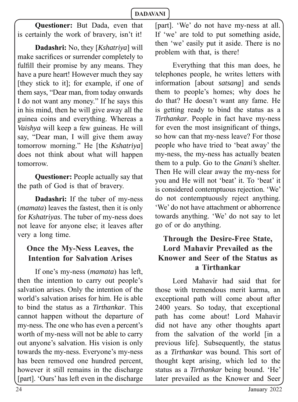**Questioner:** But Dada, even that is certainly the work of bravery, isn't it!

**Dadashri:** No, they [*Kshatriya*] will make sacrifices or surrender completely to fulfill their promise by any means. They have a pure heart! However much they say [they stick to it]; for example, if one of them says, "Dear man, from today onwards I do not want any money." If he says this in his mind, then he will give away all the guinea coins and everything. Whereas a *Vaishya* will keep a few guineas. He will say, "Dear man, I will give them away tomorrow morning." He [the *Kshatriya*] does not think about what will happen tomorrow.

**Questioner:** People actually say that the path of God is that of bravery.

**Dadashri:** If the tuber of my-ness (*mamata*) leaves the fastest, then it is only for *Kshatriyas*. The tuber of my-ness does not leave for anyone else; it leaves after very a long time.

### **Once the My-Ness Leaves, the Intention for Salvation Arises**

If one's my-ness (*mamata*) has left, then the intention to carry out people's salvation arises. Only the intention of the world's salvation arises for him. He is able to bind the status as a *Tirthankar*. This cannot happen without the departure of my-ness. The one who has even a percent's worth of my-ness will not be able to carry out anyone's salvation. His vision is only towards the my-ness. Everyone's my-ness has been removed one hundred percent, however it still remains in the discharge [part]. 'Ours' has left even in the discharge

[part]. 'We' do not have my-ness at all. If 'we' are told to put something aside, then 'we' easily put it aside. There is no problem with that, is there!

Everything that this man does, he telephones people, he writes letters with information [about *satsang*] and sends them to people's homes; why does he do that? He doesn't want any fame. He is getting ready to bind the status as a *Tirthankar*. People in fact have my-ness for even the most insignificant of things, so how can that my-ness leave? For those people who have tried to 'beat away' the my-ness, the my-ness has actually beaten them to a pulp. Go to the *Gnani's* shelter. Then He will clear away the my-ness for you and He will not 'beat' it. To 'beat' it is considered contemptuous rejection. 'We' do not contemptuously reject anything. 'We' do not have attachment or abhorrence towards anything. 'We' do not say to let go of or do anything.

# **Through the Desire-Free State, Lord Mahavir Prevailed as the Knower and Seer of the Status as a Tirthankar**

Lord Mahavir had said that for those with tremendous merit karma, an exceptional path will come about after 2400 years. So today, that exceptional path has come about! Lord Mahavir did not have any other thoughts apart from the salvation of the world [in a previous life]. Subsequently, the status as a *Tirthankar* was bound. This sort of thought kept arising, which led to the status as a *Tirthankar* being bound. 'He' later prevailed as the Knower and Seer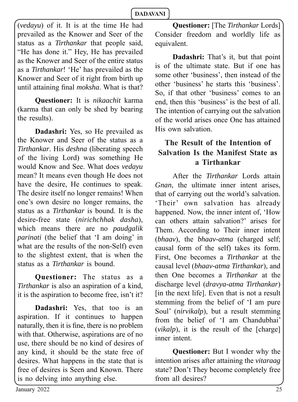(*vedayu*) of it. It is at the time He had prevailed as the Knower and Seer of the status as a *Tirthankar* that people said, "He has done it." Hey, He has prevailed as the Knower and Seer of the entire status as a *Tirthankar*! 'He' has prevailed as the Knower and Seer of it right from birth up until attaining final *moksha*. What is that?

**Questioner:** It is *nikaachit* karma (karma that can only be shed by bearing the results).

**Dadashri:** Yes, so He prevailed as the Knower and Seer of the status as a *Tirthankar*. His *deshna* (liberating speech of the living Lord) was something He would Know and See. What does *vedayu* mean? It means even though He does not have the desire, He continues to speak. The desire itself no longer remains! When one's own desire no longer remains, the status as a *Tirthankar* is bound. It is the desire-free state (*nirichchhak dasha*), which means there are no *paudgalik parinati* (the belief that 'I am doing' in what are the results of the non-Self) even to the slightest extent, that is when the status as a *Tirthankar* is bound.

**Questioner:** The status as a *Tirthankar* is also an aspiration of a kind, it is the aspiration to become free, isn't it?

**Dadashri:** Yes, that too is an aspiration. If it continues to happen naturally, then it is fine, there is no problem with that. Otherwise, aspirations are of no use, there should be no kind of desires of any kind, it should be the state free of desires. What happens in the state that is free of desires is Seen and Known. There is no delving into anything else.

**Questioner:** [The *Tirthankar* Lords] Consider freedom and worldly life as equivalent.

**Dadashri:** That's it, but that point is of the ultimate state. But if one has some other 'business', then instead of the other 'business' he starts this 'business'. So, if that other 'business' comes to an end, then this 'business' is the best of all. The intention of carrying out the salvation of the world arises once One has attained His own salvation.

# **The Result of the Intention of Salvation Is the Manifest State as a Tirthankar**

After the *Tirthankar* Lords attain *Gnan*, the ultimate inner intent arises, that of carrying out the world's salvation. 'Their' own salvation has already happened. Now, the inner intent of, 'How can others attain salvation?' arises for Them. According to Their inner intent (*bhaav*), the *bhaav-atma* (charged self; causal form of the self) takes its form. First, One becomes a *Tirthankar* at the causal level (*bhaav-atma Tirthankar*), and then One becomes a *Tirthankar* at the discharge level (*dravya-atma Tirthankar*) [in the next life]. Even that is not a result stemming from the belief of 'I am pure Soul' (*nirvikalp*), but a result stemming from the belief of 'I am Chandubhai' (*vikalp*), it is the result of the [charge] inner intent.

**Questioner:** But I wonder why the intention arises after attaining the *vitaraag* state? Don't They become completely free from all desires?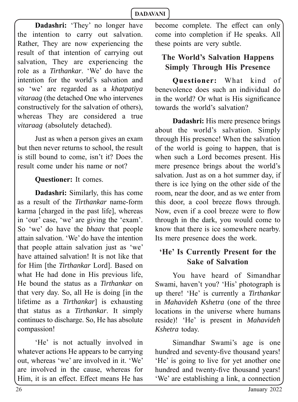**Dadashri:** 'They' no longer have the intention to carry out salvation. Rather, They are now experiencing the result of that intention of carrying out salvation, They are experiencing the role as a *Tirthankar*. 'We' do have the intention for the world's salvation and so 'we' are regarded as a *khatpatiya vitaraag* (the detached One who intervenes constructively for the salvation of others), whereas They are considered a true *vitaraag* (absolutely detached).

Just as when a person gives an exam but then never returns to school, the result is still bound to come, isn't it? Does the result come under his name or not?

### **Questioner:** It comes.

**Dadashri:** Similarly, this has come as a result of the *Tirthankar* name-form karma [charged in the past life], whereas in 'our' case, 'we' are giving the 'exam'. So 'we' do have the *bhaav* that people attain salvation. 'We' do have the intention that people attain salvation just as 'we' have attained salvation! It is not like that for Him [the *Tirthankar* Lord]. Based on what He had done in His previous life, He bound the status as a *Tirthankar* on that very day. So, all He is doing [in the lifetime as a *Tirthankar*] is exhausting that status as a *Tirthankar*. It simply continues to discharge. So, He has absolute compassion!

'He' is not actually involved in whatever actions He appears to be carrying out, whereas 'we' are involved in it. 'We' are involved in the cause, whereas for Him, it is an effect. Effect means He has

become complete. The effect can only come into completion if He speaks. All these points are very subtle.

### **The World's Salvation Happens Simply Through His Presence**

**Questioner:** What kind of benevolence does such an individual do in the world? Or what is His significance towards the world's salvation?

**Dadashri:** His mere presence brings about the world's salvation. Simply through His presence! When the salvation of the world is going to happen, that is when such a Lord becomes present. His mere presence brings about the world's salvation. Just as on a hot summer day, if there is ice lying on the other side of the room, near the door, and as we enter from this door, a cool breeze flows through. Now, even if a cool breeze were to flow through in the dark, you would come to know that there is ice somewhere nearby. Its mere presence does the work.

# **'He' Is Currently Present for the Sake of Salvation**

You have heard of Simandhar Swami, haven't you? 'His' photograph is up there! 'He' is currently a *Tirthankar* in *Mahavideh Kshetra* (one of the three locations in the universe where humans reside)! 'He' is present in *Mahavideh Kshetra* today.

Simandhar Swami's age is one hundred and seventy-five thousand years! 'He' is going to live for yet another one hundred and twenty-five thousand years! 'We' are establishing a link, a connection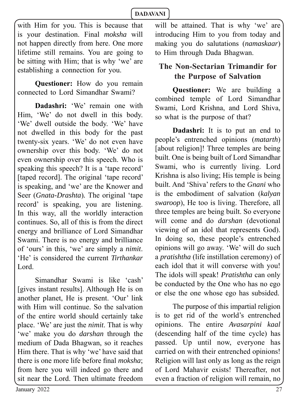with Him for you. This is because that is your destination. Final *moksha* will not happen directly from here. One more lifetime still remains. You are going to be sitting with Him; that is why 'we' are establishing a connection for you.

**Questioner:** How do you remain connected to Lord Simandhar Swami?

**Dadashri:** 'We' remain one with Him, 'We' do not dwell in this body. 'We' dwell outside the body. 'We' have not dwelled in this body for the past twenty-six years. 'We' do not even have ownership over this body. 'We' do not even ownership over this speech. Who is speaking this speech? It is a 'tape record' [taped record]. The original 'tape record' is speaking, and 'we' are the Knower and Seer (*Gnata-Drashta*)*.* The original 'tape record' is speaking, you are listening. In this way, all the worldly interaction continues. So, all of this is from the direct energy and brilliance of Lord Simandhar Swami. There is no energy and brilliance of 'ours' in this, 'we' are simply a *nimit*. 'He' is considered the current *Tirthankar* Lord.

Simandhar Swami is like 'cash' [gives instant results]. Although He is on another planet, He is present. 'Our' link with Him will continue. So the salvation of the entire world should certainly take place. 'We' are just the *nimit*. That is why 'we' make you do *darshan* through the medium of Dada Bhagwan, so it reaches Him there. That is why 'we' have said that there is one more life before final *moksha*: from here you will indeed go there and sit near the Lord. Then ultimate freedom will be attained. That is why 'we' are introducing Him to you from today and making you do salutations (*namaskaar*) to Him through Dada Bhagwan.

# **The Non-Sectarian Trimandir for the Purpose of Salvation**

**Questioner:** We are building a combined temple of Lord Simandhar Swami, Lord Krishna, and Lord Shiva, so what is the purpose of that?

**Dadashri:** It is to put an end to people's entrenched opinions (*matarth*) [about religion]! Three temples are being built. One is being built of Lord Simandhar Swami, who is currently living. Lord Krishna is also living; His temple is being built. And 'Shiva' refers to the *Gnani* who is the embodiment of salvation (*kalyan swaroop*), He too is living. Therefore, all three temples are being built. So everyone will come and do *darshan* (devotional viewing of an idol that represents God). In doing so, these people's entrenched opinions will go away. 'We' will do such a *pratishtha* (life instillation ceremony) of each idol that it will converse with you! The idols will speak! *Pratishtha* can only be conducted by the One who has no ego or else the one whose ego has subsided.

The purpose of this impartial religion is to get rid of the world's entrenched opinions. The entire *Avasarpini kaal* (descending half of the time cycle) has passed. Up until now, everyone has carried on with their entrenched opinions! Religion will last only as long as the reign of Lord Mahavir exists! Thereafter, not even a fraction of religion will remain, no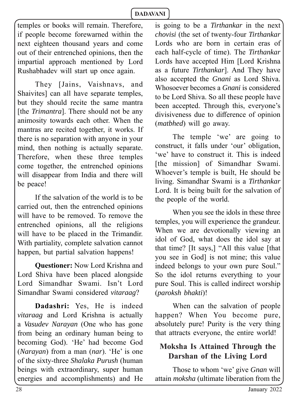temples or books will remain. Therefore, if people become forewarned within the next eighteen thousand years and come out of their entrenched opinions, then the impartial approach mentioned by Lord Rushabhadev will start up once again.

They [Jains, Vaishnavs, and Shaivites] can all have separate temples, but they should recite the same mantra [the *Trimantra*]. There should not be any animosity towards each other. When the mantras are recited together, it works. If there is no separation with anyone in your mind, then nothing is actually separate. Therefore, when these three temples come together, the entrenched opinions will disappear from India and there will be peace!

If the salvation of the world is to be carried out, then the entrenched opinions will have to be removed. To remove the entrenched opinions, all the religions will have to be placed in the Trimandir. With partiality, complete salvation cannot happen, but partial salvation happens!

**Questioner:** Now Lord Krishna and Lord Shiva have been placed alongside Lord Simandhar Swami. Isn't Lord Simandhar Swami considered *vitaraag*?

**Dadashri:** Yes, He is indeed *vitaraag* and Lord Krishna is actually a *Vasudev Narayan* (One who has gone from being an ordinary human being to becoming God). 'He' had become God (*Narayan*) from a man (*nar*). 'He' is one of the sixty-three *Shalaka Purush* (human beings with extraordinary, super human energies and accomplishments) and He

is going to be a *Tirthankar* in the next *chovisi* (the set of twenty-four *Tirthankar* Lords who are born in certain eras of each half-cycle of time). The *Tirthankar*  Lords have accepted Him [Lord Krishna as a future *Tirthankar*]. And They have also accepted the *Gnani* as Lord Shiva. Whosoever becomes a *Gnani* is considered to be Lord Shiva. So all these people have been accepted. Through this, everyone's divisiveness due to difference of opinion (*matbhed*) will go away.

The temple 'we' are going to construct, it falls under 'our' obligation, 'we' have to construct it. This is indeed [the mission] of Simandhar Swami. Whoever's temple is built, He should be living. Simandhar Swami is a *Tirthankar*  Lord. It is being built for the salvation of the people of the world.

When you see the idols in these three temples, you will experience the grandeur. When we are devotionally viewing an idol of God, what does the idol say at that time? [It says,] "All this value [that you see in God] is not mine; this value indeed belongs to your own pure Soul." So the idol returns everything to your pure Soul. This is called indirect worship (*paroksh bhakti*)!

When can the salvation of people happen? When You become pure, absolutely pure! Purity is the very thing that attracts everyone, the entire world!

### **Moksha Is Attained Through the Darshan of the Living Lord**

Those to whom 'we' give *Gnan* will attain *moksha* (ultimate liberation from the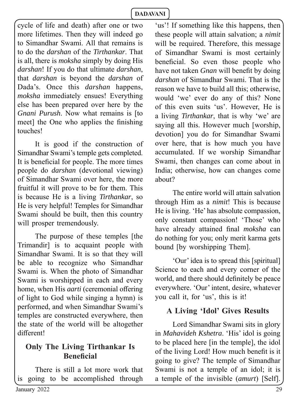cycle of life and death) after one or two more lifetimes. Then they will indeed go to Simandhar Swami. All that remains is to do the *darshan* of the *Tirthankar*. That is all, there is *moksha* simply by doing His *darshan*! If you do that ultimate *darshan*, that *darshan* is beyond the *darshan* of Dada's. Once this *darshan* happens, *moksha* immediately ensues! Everything else has been prepared over here by the *Gnani Purush*. Now what remains is [to meet] the One who applies the finishing touches!

It is good if the construction of Simandhar Swami's temple gets completed. It is beneficial for people. The more times people do *darshan* (devotional viewing) of Simandhar Swami over here, the more fruitful it will prove to be for them. This is because He is a living *Tirthankar*, so He is very helpful! Temples for Simandhar Swami should be built, then this country will prosper tremendously.

The purpose of these temples [the Trimandir] is to acquaint people with Simandhar Swami. It is so that they will be able to recognize who Simandhar Swami is. When the photo of Simandhar Swami is worshipped in each and every home, when His *aarti* (ceremonial offering of light to God while singing a hymn) is performed, and when Simandhar Swami's temples are constructed everywhere, then the state of the world will be altogether different!

### **Only The Living Tirthankar Is Beneficial**

There is still a lot more work that is going to be accomplished through

'us'! If something like this happens, then these people will attain salvation; a *nimit* will be required. Therefore, this message of Simandhar Swami is most certainly beneficial. So even those people who have not taken *Gnan* will benefit by doing *darshan* of Simandhar Swami. That is the reason we have to build all this; otherwise would 'we' ever do any of this? None of this even suits 'us'. However, He is a living *Tirthankar*, that is why 'we' are saying all this. However much [worship, devotion] you do for Simandhar Swami over here, that is how much you have accumulated. If we worship Simandhar Swami, then changes can come about in India; otherwise, how can changes come about?

The entire world will attain salvation through Him as a *nimit*! This is because He is living. 'He' has absolute compassion, only constant compassion! 'Those' who have already attained final *moksha* can do nothing for you; only merit karma gets bound [by worshipping Them].

'Our' idea is to spread this [spiritual] Science to each and every corner of the world, and there should definitely be peace everywhere. 'Our' intent, desire, whatever you call it, for 'us', this is it!

### **A Living 'Idol' Gives Results**

Lord Simandhar Swami sits in glory in *Mahavideh Kshetra*. 'His' idol is going to be placed here [in the temple], the idol of the living Lord! How much benefit is it going to give? The temple of Simandhar Swami is not a temple of an idol; it is a temple of the invisible (*amurt*) [Self].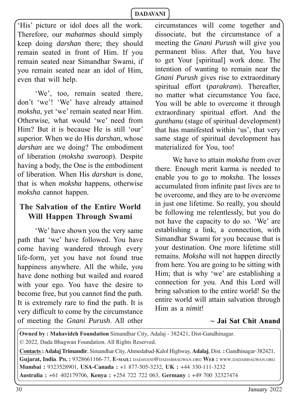'His' picture or idol does all the work. Therefore, our *mahatmas* should simply keep doing *darshan* there; they should remain seated in front of Him. If you remain seated near Simandhar Swami, if you remain seated near an idol of Him, even that will help.

'We', too, remain seated there, don't 'we'! 'We' have already attained *moksha*, yet 'we' remain seated near Him. Otherwise, what would 'we' need from Him? But it is because He is still 'our' superior. When we do His *darshan*, whose *darshan* are we doing? The embodiment of liberation (*moksha swaroop*). Despite having a body, the One is the embodiment of liberation. When His *darshan* is done, that is when *moksha* happens, otherwise *moksha* cannot happen.

### **The Salvation of the Entire World Will Happen Through Swami**

'We' have shown you the very same path that 'we' have followed. You have come having wandered through every life-form, yet you have not found true happiness anywhere. All the while, you have done nothing but wailed and roared with your ego. You have the desire to become free, but you cannot find the path. It is extremely rare to find the path. It is very difficult to come by the circumstance of meeting the *Gnani Purush*. All other

circumstances will come together and dissociate, but the circumstance of a meeting the *Gnani Purush* will give you permanent bliss. After that, You have to get Your [spiritual] work done. The intention of wanting to remain near the *Gnani Purush* gives rise to extraordinary spiritual effort (*parakram*). Thereafter, no matter what circumstance You face, You will be able to overcome it through extraordinary spiritual effort. And the *gunthanu* (stage of spiritual development) that has manifested within 'us', that very same stage of spiritual development has materialized for You, too!

We have to attain *moksha* from over there. Enough merit karma is needed to enable you to go to *moksha*. The losses accumulated from infinite past lives are to be overcome, and they are to be overcome in just one lifetime. So really, you should be following me relentlessly, but you do not have the capacity to do so. 'We' are establishing a link, a connection, with Simandhar Swami for you because that is your destination. One more lifetime still remains. *Moksha* will not happen directly from here. You are going to be sitting with Him; that is why 'we' are establishing a connection for you. And this Lord will bring salvation to the entire world! So the entire world will attain salvation through Him as a *nimit*!

### **~ Jai Sat Chit Anand**

**Owned by : Mahavideh Foundation** Simandhar City, Adalaj - 382421, Dist-Gandhinagar.

© 2022, Dada Bhagwan Foundation. All Rights Reserved.

**Contacts : Adalaj Trimandir**, Simandhar City, Ahmedabad-Kalol Highway, **Adalaj**, Dist. **:** Gandhinagar-382421, **Gujarat, India**. **PH. :** 9328661166-77, **E-MAIL:** DADAVANI@DADABHAGWAN.ORG **WEB :** WWW.DADABHAGWAN.ORG **Mumbai :** 9323528901, **USA-Canada :** +1 877-505-3232, **UK :** +44 330-111-3232 **Australia :** +61 402179706, **Kenya :** +254 722 722 063, **Germany :** +49 700 32327474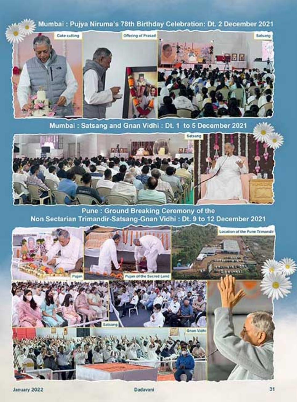Mumbai : Pujya Niruma's 78th Birthday Celebration: Dt. 2 December 2021 Cake cutting Offering of Prasad Satsing

Mumbai: Satsang and Gnan Vidhi: Dt. 1 to 5 December 2021



### **Pune: Ground Breaking Ceremony of the** Non Sectarian Trimandir-Satsang-Gnan Vidhi : Dt. 9 to 12 December 2021



January 2022

Dadavani